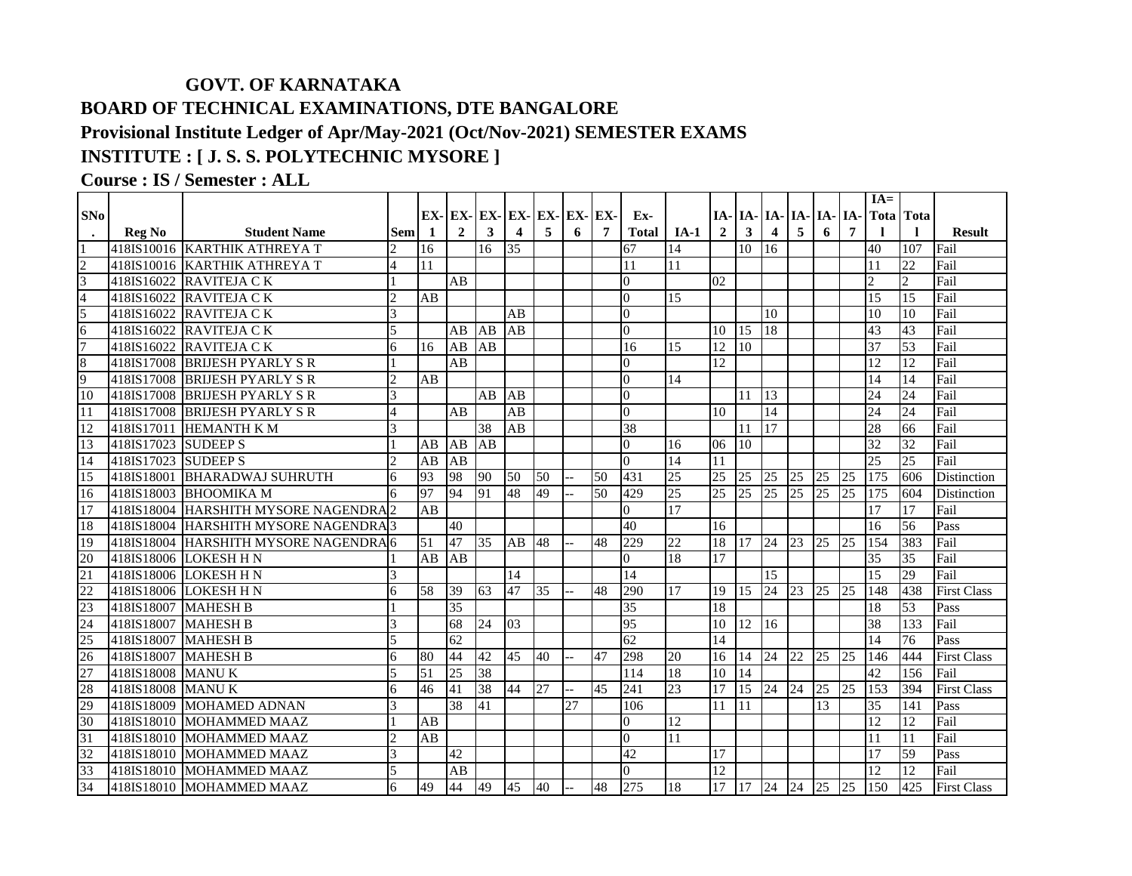## **GOVT. OF KARNATAKA BOARD OF TECHNICAL EXAMINATIONS, DTE BANGALORE Provisional Institute Ledger of Apr/May-2021 (Oct/Nov-2021) SEMESTER EXAMS INSTITUTE : [ J. S. S. POLYTECHNIC MYSORE ]**

## **Course : IS / Semester : ALL**

|                 |               |                              |                          |                 |                 |                 |                 |                                         |                 |                 |                |                 |                 |                 |                                  |                 |                 |                | $IA=$            |                  |                    |
|-----------------|---------------|------------------------------|--------------------------|-----------------|-----------------|-----------------|-----------------|-----------------------------------------|-----------------|-----------------|----------------|-----------------|-----------------|-----------------|----------------------------------|-----------------|-----------------|----------------|------------------|------------------|--------------------|
| SNo             |               |                              |                          |                 |                 |                 |                 | $EX - EX - EX - EX - EX - EX - EX - EX$ |                 |                 | Ex-            |                 |                 |                 | $IA$ - $IA$ - $IA$ - $IA$ - $IA$ |                 | IA-             | IA-            |                  | <b>Tota</b> Tota |                    |
|                 | <b>Reg No</b> | <b>Student Name</b>          | <b>Sem</b>               | -1              | $\overline{2}$  | 3               | 4               | 5                                       | 6               | $\overline{7}$  | <b>Total</b>   | $IA-1$          | $\overline{2}$  | 3               | $\overline{4}$                   | 5               | 6               | $\overline{7}$ |                  |                  | <b>Result</b>      |
|                 |               | 418IS10016 KARTHIK ATHREYA T | $\overline{2}$           | 16              |                 | 16              | 35              |                                         |                 |                 | 67             | 14              |                 | 10              | 16                               |                 |                 |                | 40               | 107              | Fail               |
| $\overline{2}$  |               | 418IS10016 KARTHIK ATHREYA T | 4                        | 11              |                 |                 |                 |                                         |                 |                 | 11             | 11              |                 |                 |                                  |                 |                 |                | 11               | 22               | Fail               |
| $\overline{3}$  |               | 418IS16022 RAVITEJA C K      |                          |                 | AB              |                 |                 |                                         |                 |                 | $\overline{0}$ |                 | 02              |                 |                                  |                 |                 |                | $\overline{2}$   | $\overline{c}$   | Fail               |
| $\overline{4}$  |               | 418IS16022 RAVITEJA CK       | $\overline{2}$           | AB              |                 |                 |                 |                                         |                 |                 | $\overline{0}$ | 15              |                 |                 |                                  |                 |                 |                | 15               | 15               | Fail               |
| 5               | 418IS16022    | <b>RAVITEJA CK</b>           | $\overline{3}$           |                 |                 |                 | AB              |                                         |                 |                 | $\overline{0}$ |                 |                 |                 | 10                               |                 |                 |                | 10               | 10               | Fail               |
| 6               | 418IS16022    | <b>RAVITEJA CK</b>           | 5                        |                 | AB              | AB              | AB              |                                         |                 |                 | $\overline{0}$ |                 | 10              | 15              | 18                               |                 |                 |                | 43               | 43               | Fail               |
| $\overline{7}$  | 418IS16022    | RAVITEJA CK                  | 6                        | 16              | AB              | AB              |                 |                                         |                 |                 | 16             | $\overline{15}$ | 12              | 10              |                                  |                 |                 |                | $\overline{37}$  | $\overline{53}$  | Fail               |
| 8               | 418IS17008    | <b>BRIJESH PYARLY S R</b>    |                          |                 | AB              |                 |                 |                                         |                 |                 | $\Omega$       |                 | 12              |                 |                                  |                 |                 |                | 12               | 12               | Fail               |
| 9               | 418IS17008    | <b>BRIJESH PYARLY S R</b>    | $\overline{\mathcal{L}}$ | AB              |                 |                 |                 |                                         |                 |                 | $\overline{0}$ | 14              |                 |                 |                                  |                 |                 |                | 14               | 14               | Fail               |
| 10              | 418IS17008    | <b>BRUESH PYARLY S R</b>     | 3                        |                 |                 | AB              | AB              |                                         |                 |                 | $\overline{0}$ |                 |                 | 11              | 13                               |                 |                 |                | 24               | 24               | Fail               |
| 11              | 418IS17008    | <b>BRIJESH PYARLY S R</b>    | $\overline{4}$           |                 | AB              |                 | AB              |                                         |                 |                 | $\overline{0}$ |                 | 10              |                 | 14                               |                 |                 |                | 24               | $\overline{24}$  | Fail               |
| 12              | 418IS17011    | <b>HEMANTH K M</b>           | $\mathcal{E}$            |                 |                 | 38              | AB              |                                         |                 |                 | 38             |                 |                 | 11              | 17                               |                 |                 |                | 28               | 66               | Fail               |
| 13              | 418IS17023    | <b>SUDEEPS</b>               |                          | AB              | AB              | $\overline{AB}$ |                 |                                         |                 |                 | $\overline{0}$ | 16              | 06              | 10              |                                  |                 |                 |                | 32               | 32               | Fail               |
| 14              | 418IS17023    | <b>SUDEEPS</b>               | $\overline{\mathcal{L}}$ | AB              | $\overline{AB}$ |                 |                 |                                         |                 |                 | $\Omega$       | 14              | $\overline{11}$ |                 |                                  |                 |                 |                | 25               | 25               | Fail               |
| $\overline{15}$ | 418IS18001    | <b>BHARADWAJ SUHRUTH</b>     | 6                        | 93              | 98              | 90              | 50              | 50                                      |                 | 50              | 431            | 25              | 25              | $\overline{25}$ | $\overline{25}$                  | 25              | 25              | 25             | $\overline{175}$ | 606              | Distinction        |
| 16              | 418IS18003    | <b>BHOOMIKA M</b>            | 6                        | 97              | 94              | 91              | 48              | 49                                      |                 | 50              | 429            | 25              | 25              | 25              | 25                               | 125             | 25              | 25             | 175              | 604              | <b>Distinction</b> |
| 17              | 418IS18004    | HARSHITH MYSORE NAGENDRA2    |                          | AB              |                 |                 |                 |                                         |                 |                 | $\Omega$       | $\overline{17}$ |                 |                 |                                  |                 |                 |                | 17               | 17               | Fail               |
| 18              | 418IS18004    | HARSHITH MYSORE NAGENDRA 3   |                          |                 | 40              |                 |                 |                                         |                 |                 | 40             |                 | 16              |                 |                                  |                 |                 |                | 16               | 56               | Pass               |
| 19              | 418IS18004    | HARSHITH MYSORE NAGENDRA 6   |                          | $\overline{51}$ | 47              | $\overline{35}$ | AB              | 48                                      |                 | 48              | 229            | 22              | 18              | 17              | 24                               | $\overline{23}$ | 25              | 25             | 154              | 383              | Fail               |
| 20              |               | 418IS18006 LOKESH H N        |                          | AB              | AB              |                 |                 |                                         |                 |                 | $\Omega$       | 18              | 17              |                 |                                  |                 |                 |                | 35               | 35               | Fail               |
| 21              |               | 418IS18006 LOKESH H N        | $\overline{3}$           |                 |                 |                 | $\overline{14}$ |                                         |                 |                 | 14             |                 |                 |                 | $\overline{15}$                  |                 |                 |                | 15               | 29               | Fail               |
| $\overline{22}$ | 418IS18006    | LOKESH H N                   | 6                        | 58              | 39              | 63              | 47              | $\overline{35}$                         |                 | 48              | 290            | 17              | 19              | 15              | $\overline{24}$                  | 23              | 25              | 25             | 148              | 438              | <b>First Class</b> |
| 23              | 418IS18007    | <b>MAHESH B</b>              |                          |                 | 35              |                 |                 |                                         |                 |                 | 35             |                 | 18              |                 |                                  |                 |                 |                | 18               | 53               | Pass               |
| $\overline{24}$ | 418IS18007    | <b>MAHESH B</b>              | $\overline{3}$           |                 | 68              | 24              | $ 03\rangle$    |                                         |                 |                 | 95             |                 | 10              | 12              | <sup>16</sup>                    |                 |                 |                | 38               | 133              | Fail               |
| $\overline{25}$ | 418IS18007    | <b>MAHESH B</b>              | 5                        |                 | 62              |                 |                 |                                         |                 |                 | 62             |                 | 14              |                 |                                  |                 |                 |                | 14               | 76               | Pass               |
| 26              | 418IS18007    | <b>MAHESH B</b>              | 6                        | 80              | 44              | 42              | $\overline{45}$ | 40                                      |                 | $\overline{47}$ | 298            | 20              | 16              | 14              | 24                               | 22              | 25              | 25             | 146              | 444              | <b>First Class</b> |
| $\overline{27}$ | 418IS18008    | <b>MANUK</b>                 | $\overline{5}$           | 51              | $\overline{25}$ | 38              |                 |                                         |                 |                 | 114            | 18              | 10              | 14              |                                  |                 |                 |                | $\overline{42}$  | 156              | Fail               |
| 28              | 418IS18008    | <b>MANUK</b>                 | 6                        | 46              | 41              | 38              | 44              | 27                                      |                 | 45              | 241            | 23              | $\overline{17}$ | 15              | 24 24                            |                 | 25              | 25             | 153              | 394              | <b>First Class</b> |
| 29              | 418IS18009    | <b>MOHAMED ADNAN</b>         | 3                        |                 | 38              | 41              |                 |                                         | $\overline{27}$ |                 | 106            |                 | 11              | 11              |                                  |                 | $\overline{13}$ |                | $\overline{35}$  | $\overline{141}$ | Pass               |
| $\overline{30}$ |               | 418IS18010 MOHAMMED MAAZ     |                          | AB              |                 |                 |                 |                                         |                 |                 | $\Omega$       | 12              |                 |                 |                                  |                 |                 |                | 12               | $\overline{12}$  | Fail               |
| $\overline{31}$ |               | 418IS18010 MOHAMMED MAAZ     | $\overline{2}$           | AB              |                 |                 |                 |                                         |                 |                 | $\Omega$       | 11              |                 |                 |                                  |                 |                 |                | 11               | 11               | Fail               |
| 32              |               | 418IS18010 MOHAMMED MAAZ     | 3                        |                 | 42              |                 |                 |                                         |                 |                 | 42             |                 | $\overline{17}$ |                 |                                  |                 |                 |                | 17               | 59               | Pass               |
| 33              |               | 418IS18010 MOHAMMED MAAZ     | 5                        |                 | AB              |                 |                 |                                         |                 |                 | $\Omega$       |                 | 12              |                 |                                  |                 |                 |                | 12               | 12               | Fail               |
| 34              |               | 418IS18010 MOHAMMED MAAZ     | 6                        | 49              | 44              | 49              | 45              | 40                                      |                 | 48              | 275            | 18              | 17              | 17              | 24                               | 24              | 25              | 25             | 150              | 425              | <b>First Class</b> |